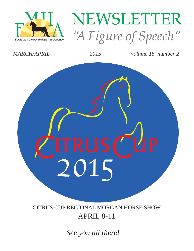

# NEWSLETTER "A Figure of Speech"

*MARCH/APRIL 2015 volume 15 number 2* 



CITRUS CUP REGIONAL MORGAN HORSE SHOW APRIL 8-11

*See you all there!*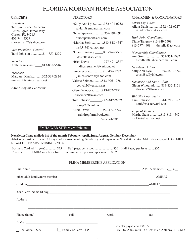## FLORIDA MORGAN HORSE ASSOCIATION

*President* TariLyn Stoeber Anderson 12324 Egret Harbor Way Cortez, FL 34215 407-744-4327 shezavixen2@yahoo.com

*Vice President - Central* Tami Johnson ..............314-750-1379

*Secretary* Kellie Ramsower \_\_\_\_813-888-5616

*Treasurer* Margaret Karrh............352-339-2824 mmkarrh@windstream.net

*AMHA Region 4 Director*

| *Sally Ann Lyle352-401-0252        |  |  |  |  |
|------------------------------------|--|--|--|--|
| sal4art@embarqmail.com             |  |  |  |  |
| *Nina Spencer352-591-0910          |  |  |  |  |
| ninaespencer@aol.com               |  |  |  |  |
| *Martha Stein813-818-4547          |  |  |  |  |
| ms4547@verizon.net                 |  |  |  |  |
| *Diane Tanguay _______813-949-7509 |  |  |  |  |
| $d$ sstella@aol.com                |  |  |  |  |
| *Rick Davis_________727-421-2387   |  |  |  |  |
| rndhorsetrainer@verizon.net        |  |  |  |  |
| Janice Scotto813 409-5272          |  |  |  |  |
| janice.scotto@yahoo.com            |  |  |  |  |
| Valerie Seimer813-926-1978         |  |  |  |  |
| geoval2@verizon.net                |  |  |  |  |
| Glenn Winograd813-852-2171         |  |  |  |  |
| ahorseor2@msn.com                  |  |  |  |  |
| Tom Johnson 772--812-9729          |  |  |  |  |
| tomj772@aol.com                    |  |  |  |  |
| Alicia Davis352-472-6727           |  |  |  |  |
| raindropfarm@aol.com               |  |  |  |  |
| *-term ends 2015                   |  |  |  |  |

#### OFFICERS DIRECTORS DIRECTORS CHAIRMEN & COORDINATORS

*Citrus Cup Chair* Alicia Davis...............352-472-6727 raindropfarm@aol.com

*High Point Coordinator* Diane Tanguay 813-949-7509 813-777-4408 dsstella@aol.com

*Membership Coordinator* Ann Smith..................352-351-1082 asmith8889@embarqmail.com

*Newsletter Editor* Sally Ann Lyle............352-401-0252 artist@sallylyle.com

*Summer's End Show Chair* Glenn Winograd.........813-852-2171 ahorseor2@msn.com

*Web Site Coordinator* Tami Johnson.............314-750-1397 tami@masterworks.net

*Tropical Trotters* Martha Stein .............813-818-4547  $ms4547@verizon$  net

#### FMHA WEB SITE: www.fmha.net

**Newsletter Issue mailed: 1st of the month February, April, June, August, October, December** Ads/Copy must be recieved **10** days **before** issue mailing. Send copy and payment to Newsletter editor. Make checks payable to FMHA NEWSLETTER ADVERTISING RATES

Business Card ad ( 1 year)...............\$35 Full page, per issue..............................\$50 Half Page, per issue.........\$35 Classified...........FMHA member - free non-member, per word/per issue......\$0.20 non-member, per word/per issue.....\$0.20

#### FMHA MEMBERSHIP APPLICATION

|                          |                              |                                                   | Full Name $\frac{1}{\sqrt{2}}$ n |
|--------------------------|------------------------------|---------------------------------------------------|----------------------------------|
|                          |                              |                                                   |                                  |
|                          |                              |                                                   | children AMHA?                   |
|                          |                              |                                                   |                                  |
|                          |                              |                                                   |                                  |
|                          |                              |                                                   |                                  |
|                          |                              |                                                   | Phone (home) cell work fax       |
|                          |                              |                                                   | checks payable to FMHA           |
| $\Box$ Individual - \$25 | $\Box$ Family or Farm - \$35 | Mail to: Ann Smith PO Box 1477, Anthony, Fl 32617 |                                  |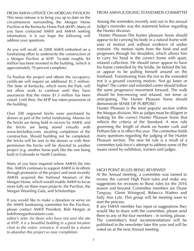FROM AMHA-UPDATE ON MORGAN PAVILION This news release is to bring you up to date on the circumstances surrounding the Morgan Horse Pavilion at the Kentucky Horse Park (KHP). Many of you have contacted AMHI and AMHA seeking information, it is our hope the following will address your questions.

As you will recall, in 2008 AMHI embarked on a fundraising effort to underwrite the construction of a Morgan Pavilion at KHP. To-date roughly \$4 million has been invested in the building, (which is approximately 70 percent complete).

To finalize the project and obtain the occupancy certificate will require an additional \$1.5 million. The State of Kentucky, which owns the Park, will not allow work to continue until they have assurances that the entire \$1.5 million has been raised. Until then, the KHP has taken possession of the building.

Over 200 engraved bricks were purchased by donors as part of the initial fundraising. Monies for the bricks are being held in escrow by AMHI, and the bricks are being stored virtually with www.bricksRus.com, awaiting completion of the construction. Should building not be completed, the bricks will be sent to the donors or with their permission the bricks will be directed to another project (e.g. another horse park like the one being built in Colorado or North Carolina).

Many of you have inquired where AMHA fits into this. AMHA continues to support AMHI in its efforts through promotion of the project and most recently AMHA acquired the National Museum of the Morgan Horse, which would enable AMHI to focus more fully on three main projects: the Pavilion, the Morgan Weanling Gala, and Scholarships.

If you would like to make a donation or serve on the AMHI fundraising committee for the Pavilion, please contact AMHI President, Bob Morgan at bob@morganhorsefarm.com.

*editor's note: for those who have not seen the site at KHP, it is a beautiful building in a great location close to the visitor entrance. It would be a shame to abandon this project so near completion.*

## FROM AMHA JUDGING STANDARDS COMMITTEE

Among the reminders recently sent out in the annual Judge's reminder was the statement below regarding the Hunter division.

 Hunter Pleasure-The hunter pleasure horse should appear to be carrying his body in a natural frame with ease of motion and without evidence of undue restraint. His motion starts from the hind end and progresses through his shoulders, which allows him to carry his head in the correct frame with quiet, relaxed collection. He should never appear to have his frame controlled by the bridle, be behind the bit, or appear to be pulling himself around on the forehand. Transitioning from the trot to the extended trot is a ground covering motion- Not go faster or higher! The canter and extended canter should follow the same progressive movement forward. The walk should be free-moving and relaxed, not tense or anticipating. The Hunter Pleasure horse should demonstrate SENSE OF PURPOSE!

Hunter Pleasure is the most popular section within the Morgan division. We as judges must be diligent in looking for the correct Hunter Pleasure horse that reflects the criteria of the Standard. A new rule governing the length of shank on hunter curb and Pelham bits is in effect this year. The committee fields many questions regarding the judging of the Hunter Pleasure section. The new bit rule is a result of a committee task force's attempt to address some of the issues raised by exhibitors, trainers and judges.

#### HIGH POINT RULES BEING REVIEWED

At the Annual meeting, a committee was named to review the current High Point rules and make any suggestions for revisions to those rules for the 2016 season and beyond. Committee members are Diane Tanguay, Glenn Winograd, Rebecca Watters and Sally Ann Lyle. This group will be meeting soon to start the process.

If any FMHA member has input or suggeations they would like to share with the committee, please send them to any of the four members - in writing, please. The committee's final recommendations will be published in the newsletter later this year and will be voted on at the next Annual meeting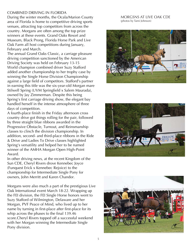#### COMBINED DRIVING IN FLORIDA

During the winter months, the Ocala/Marion County area of Florida is home to competitive driving sports venues, attracting top competitors from across the country. Morgans are often among the top prize winners at these events. Grand Oaks Resort and Museum, Black Prong, Florida Horse Park and Live Oak Farm all host competitions during January, February and March.

The annual Grand Oaks Classic, a carriage pleasure driving competition sanctioned by the American Driving Society was held on February 13-15 World champion combined driver Suzy Stafford added another championship to her trophy case by winning the Single Horse Division Championship against a large field of competitors. Stafford's partner in earning this title was the six-year-old Morgan mare Stilwell Spring (UVM Springfield x Salem Maurada), owned by Jay Zimmerman. Despite this being Spring's first carriage driving show, the elegant bay handled herself in the intense atmosphere of three days of competition.

A fourth-place finish in the Friday afternoon cross country drive got things rolling for the pair, followed by three straight blue ribbons awarded in the Progressive Obstacle, Turnout, and Reinsmanship classes to clinch the division championship. In addition, second- and third-place ribbons in the Ride & Drive and Ladies To Drive classes highlighted Spring's versatility and helped her to be named winner of the AMHA Morgan Open High-Point Award.

In other driving news, at the recent Kingdom of the Sun CDE, Cheryl Rivers drove Kennebec Joyce (Funquest Erick x Kennebec Rejoice) to the championship for Intermediate Single Pony for owners, John Merritt and Karen Chandor.

Morgans were also much a part of the prestigious Live Oak International event March 18-22. Wrapping up the FEI division, the FEI Single Horse honors went to Suzy Stafford of Wilmington, Delaware and her Morgan, PVF Peace of Mind, who lived up to her name by turning in first-place after first-place for its whip across the phases to the final 139.46 score.Cheryl Rivers topped off a successful weekend with her Morgan winning the Intermediate Single Pony division.

MORGSNS AT LIVE OAK CDE (photos by Tami Johnson)





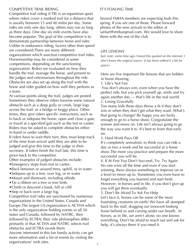#### COMPETITIVE TRAIL RIDING

Competitive trail riding (CTR) is an equestrian sport where riders cover a marked trail for a distance that is usually between 15 and 40 miles per day. Some rides are only one day long, others may run as long as three days. One day six mile events have also become popular. The goal of the competition is to demonstrate partnership between horse and rider. Unlike in endurance riding, factors other than speed are considered.There are many different organizations which sanction competitive trail rides. Horsemanship may be considered at some competitions, depending on the sanctioning organization. Riders are evaluated on how they handle the trail, manage the horse, and present to the judges and veterinarians throughout the ride. Obstacles are also set up along the trail with the horse and rider graded on how well they perform as a team.

At various points along the trail, judges are posted. Sometimes they observe riders traverse some natural obstacle such as a deep gully or creek, large logs across the trail, or a bridge or boggy place. Other times, they give riders specific instructions, such as to back or sidepass the horse, open and close a gate, or travel at a specified gait such as the trot or canter. Riders may be asked to complete obstacles either in-hand or under saddle.

If riders have to wait their turn, they must keep track of the time from arrival until they are able to be judged and give this time to the judge or their secretary. If riders finish the trail late, this time is given back to the competitor.

Other examples of judged obstacles include:

- •Emergency stops from trot or canter.
- •Back between or around trees, uphill, or in water
- •Sidepass up to a tree, over log, or in water
- •Mount and dismount, including offside
- •Tie a ribbon on a tree or tree limb.
- •Climb or descend a bank, hill or cliff.
- Step or back over a large log.

Competitive trail rides are sanctioned by numerous organizations in the United States, Canada and Europe.The largest US organization is ACTHA which is the only organization holding events in all 50 states and Canada, followed by NATRC, then followed by ECTRA; their ride philosophies differ primarily in that ACTHA and NATRC selects trail obstacles and ECTRA avoids them.

Anyone interested in this fun family activity can get more information and a list of events by visiting the organizations' web sites.

### IT'S FOALING TIME

Several FMHA members are expecting foals this spring. If you are one of those, Please forward photos of the new arrivals to the editor at sal4art@embarqmail.com. We would love to share them with the rest of the club

#### LIFE LESSONS

(*ed. note: some time ago I found this quoted on the internet. I don't know the original source. It has been edited it a bit for space)*

Here are five important life lessons that are hidden in horse showing.

1. Life's Not Fair

 You don't always win, even when you have the perfect ride, but you pick yourself up, smile and try again another day — that's life in the real world. 2. Losing Gracefully

Too many kids these days throw a fit if they don't win or when they don't get what they want. What's that going to change? Be happy you are lucky enough to go to a horse show. Congratulate the winner and move on. Life isn't always going to go the way you want it to. It's best to learn that early on.

3. Hard Work Pays Off

It's completely unrealistic to think you can ride a day or two a week and be successful at a horse show.The more you practice and prepare the more successful you will be.

4. If At First You Don't Succeed, Try, Try Again No one wins all the time and even if you start winning, there always something to improve on or a level to move up to. Sometimes you even have to forget everything you learned and start fresh. However, in horses and in life, if you don't give up you will get there eventually.

5. Don't Be Afraid To Ask For Help

Let's face it, horses can be some of the most frustrating creatures on earth! We have all stomped back to the stall, dragging our innocent looking horse behind us and cursing under our breath. In horses, as in life, we aren't alone, no one knows everything. Don't be afraid to reach out and ask for help, it's always there if you need it.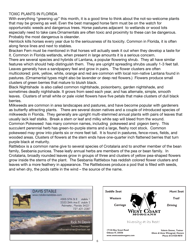#### TOXIC PLANTS IN FLORIDA

With everything "greening up" this month, it is a good time to think about the not-so-welcome plants that may be growing as well. Even the best managed horse farm must be on the watch for opportunistic weeds and dangerous trees. Horse pastures adjacent to wetlands or wood lots especially need to take care.Ornamentals are often toxic and proximity to these can be dangerous. Probably the most dangerous is oleander.

Hemlock kills horses every year due to the seriousness of its toxicity. Common in Florida, it is often along fence lines and next to stables.

Bracken Fern must be mentioned in that horses will actually seek it out when they develop a taste for it. Common in Florida wetlands, when present in large amounts it is a serious concern.

There are several species and hybrids of Lantana, a popular flowering shrub. They all have similar features which should help distinguish them. They are upright spreading shrubs usually 1-3 feet tall. Leaves generally have a sandpapery feel and grow in pairs. The flower clusters are often multicolored: pink, yellow, white, orange and red are common with local non-native Lantana found in pastures. (Ornamental types might also be lavender or deep red flowers.) Flowers produce small clusters of green berries that mature to bluish black.

Black Nightshade is also called common nightshade, poisonberry, garden nightshade, and sometimes deadly nightshade. It grows from seed each year, and has alternate, simple, smooth leaves. Clusters of small white or pale violet flowers have five petals that make clusters of dull black berries.

Milkweeds are common in area landscapes and pastures, and have become popular with gardeners as butterfly attracting plants. There are several dozen natives and a couple of introduced species of milkweeds in Florida. They generally are upright multi-stemmed annual plants with pairs of leaves that usually lack leaf stalks. Break a stem or leaf and milky white sap will bleed from the wound.

Common Pokeweed has many common names, including pokeweed and pigeon berry. This succulent perennial herb has green-to-purple stems and a large, fleshy root stock. Common pokeweed may grow into plants six or more feet tall. It is found in pastures, fence-rows, fields, and wooded areas. Clusters of flowers at the stem ends have one-quarter inch flattened berries that turn purple black at maturity.

Rattlebox is a common name give to several species of Crotalaria and to another member of the bean family, Sesbania punicea. These leafy annual herbs are members of the pea or bean family. In Crotalaria, broadly rounded leaves grow in groups of three and clusters of yellow pea-shaped flowers grow inside the stems of the plant. The Sesbania Rattlebox has reddish colored flower clusters and leaves with a more feathery in appearance. The Rattleboxes produce a pod that is filled with seeds, and when dry, the pods rattle in the wind – the source of the name.



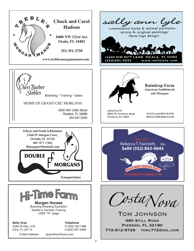